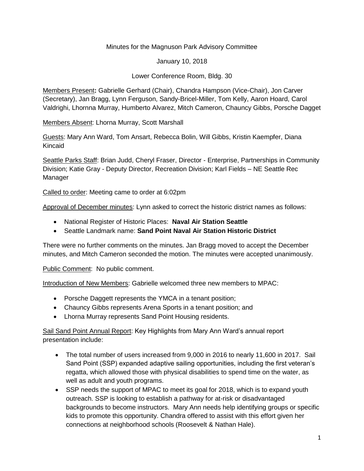### Minutes for the Magnuson Park Advisory Committee

January 10, 2018

Lower Conference Room, Bldg. 30

Members Present**:** Gabrielle Gerhard (Chair), Chandra Hampson (Vice-Chair), Jon Carver (Secretary), Jan Bragg, Lynn Ferguson, Sandy-Bricel-Miller, Tom Kelly, Aaron Hoard, Carol Valdrighi, Lhornna Murray, Humberto Alvarez, Mitch Cameron, Chauncy Gibbs, Porsche Dagget

Members Absent: Lhorna Murray, Scott Marshall

Guests: Mary Ann Ward, Tom Ansart, Rebecca Bolin, Will Gibbs, Kristin Kaempfer, Diana Kincaid

Seattle Parks Staff: Brian Judd, Cheryl Fraser, Director - Enterprise, Partnerships in Community Division; Katie Gray - Deputy Director, Recreation Division; Karl Fields – NE Seattle Rec Manager

Called to order: Meeting came to order at 6:02pm

Approval of December minutes: Lynn asked to correct the historic district names as follows:

- National Register of Historic Places: **Naval Air Station Seattle**
- Seattle Landmark name: **Sand Point Naval Air Station Historic District**

There were no further comments on the minutes. Jan Bragg moved to accept the December minutes, and Mitch Cameron seconded the motion. The minutes were accepted unanimously.

Public Comment: No public comment.

Introduction of New Members: Gabrielle welcomed three new members to MPAC:

- Porsche Daggett represents the YMCA in a tenant position;
- Chauncy Gibbs represents Arena Sports in a tenant position; and
- Lhorna Murray represents Sand Point Housing residents.

Sail Sand Point Annual Report: Key Highlights from Mary Ann Ward's annual report presentation include:

- The total number of users increased from 9,000 in 2016 to nearly 11,600 in 2017. Sail Sand Point (SSP) expanded adaptive sailing opportunities, including the first veteran's regatta, which allowed those with physical disabilities to spend time on the water, as well as adult and youth programs.
- SSP needs the support of MPAC to meet its goal for 2018, which is to expand youth outreach. SSP is looking to establish a pathway for at-risk or disadvantaged backgrounds to become instructors. Mary Ann needs help identifying groups or specific kids to promote this opportunity. Chandra offered to assist with this effort given her connections at neighborhood schools (Roosevelt & Nathan Hale).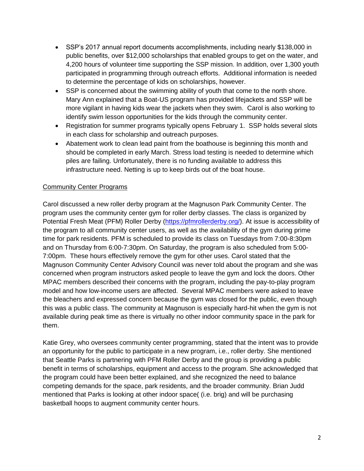- SSP's 2017 annual report documents accomplishments, including nearly \$138,000 in public benefits, over \$12,000 scholarships that enabled groups to get on the water, and 4,200 hours of volunteer time supporting the SSP mission. In addition, over 1,300 youth participated in programming through outreach efforts. Additional information is needed to determine the percentage of kids on scholarships, however.
- SSP is concerned about the swimming ability of youth that come to the north shore. Mary Ann explained that a Boat-US program has provided lifejackets and SSP will be more vigilant in having kids wear the jackets when they swim. Carol is also working to identify swim lesson opportunities for the kids through the community center.
- Registration for summer programs typically opens February 1. SSP holds several slots in each class for scholarship and outreach purposes.
- Abatement work to clean lead paint from the boathouse is beginning this month and should be completed in early March. Stress load testing is needed to determine which piles are failing. Unfortunately, there is no funding available to address this infrastructure need. Netting is up to keep birds out of the boat house.

### Community Center Programs

Carol discussed a new roller derby program at the Magnuson Park Community Center. The program uses the community center gym for roller derby classes. The class is organized by Potential Fresh Meat (PFM) Roller Derby [\(https://pfmrollerderby.org/\)](https://pfmrollerderby.org/). At issue is accessibility of the program to all community center users, as well as the availability of the gym during prime time for park residents. PFM is scheduled to provide its class on Tuesdays from 7:00-8:30pm and on Thursday from 6:00-7:30pm. On Saturday, the program is also scheduled from 5:00- 7:00pm. These hours effectively remove the gym for other uses. Carol stated that the Magnuson Community Center Advisory Council was never told about the program and she was concerned when program instructors asked people to leave the gym and lock the doors. Other MPAC members described their concerns with the program, including the pay-to-play program model and how low-income users are affected. Several MPAC members were asked to leave the bleachers and expressed concern because the gym was closed for the public, even though this was a public class. The community at Magnuson is especially hard-hit when the gym is not available during peak time as there is virtually no other indoor community space in the park for them.

Katie Grey, who oversees community center programming, stated that the intent was to provide an opportunity for the public to participate in a new program, i.e., roller derby. She mentioned that Seattle Parks is partnering with PFM Roller Derby and the group is providing a public benefit in terms of scholarships, equipment and access to the program. She acknowledged that the program could have been better explained, and she recognized the need to balance competing demands for the space, park residents, and the broader community. Brian Judd mentioned that Parks is looking at other indoor space( (i.e. brig) and will be purchasing basketball hoops to augment community center hours.